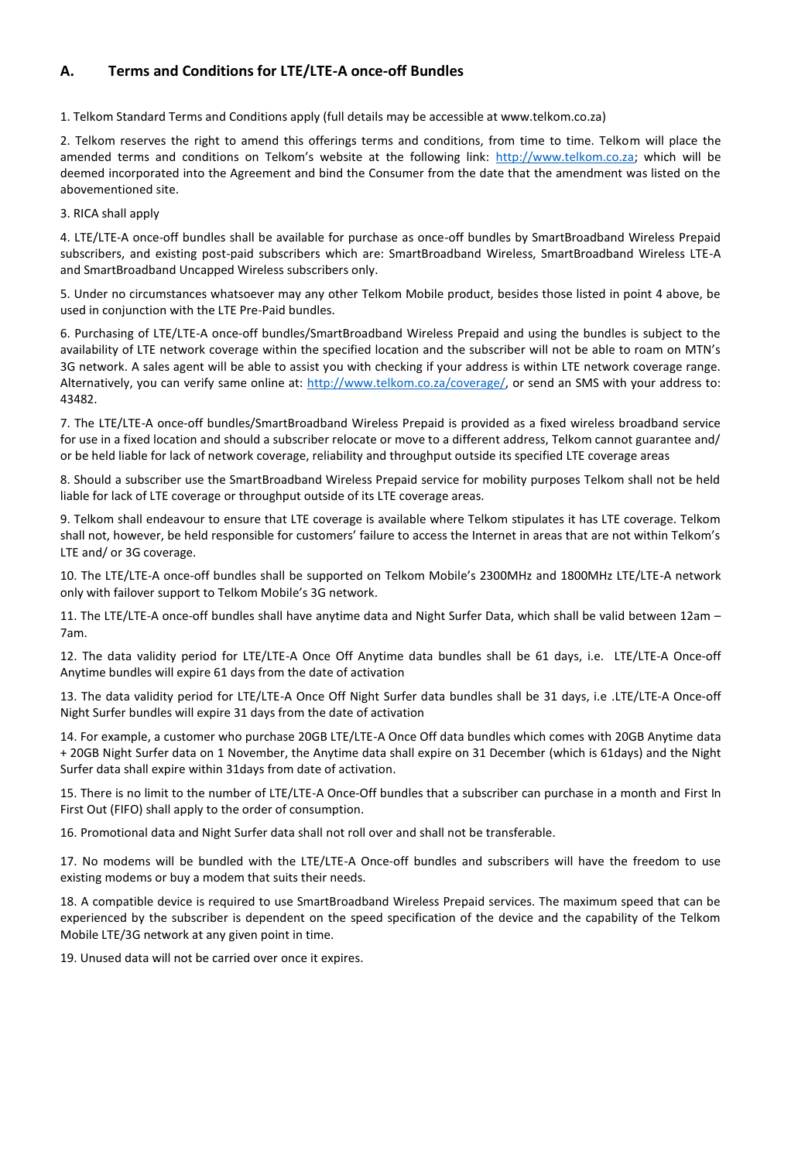## **A. Terms and Conditions for LTE/LTE-A once-off Bundles**

1. Telkom Standard Terms and Conditions apply (full details may be accessible at www.telkom.co.za)

2. Telkom reserves the right to amend this offerings terms and conditions, from time to time. Telkom will place the amended terms and conditions on Telkom's website at the following link: http://www.telkom.co.za; which will be deemed incorporated into the Agreement and bind the Consumer from the date that the amendment was listed on the abovementioned site.

3. RICA shall apply

4. LTE/LTE-A once-off bundles shall be available for purchase as once-off bundles by SmartBroadband Wireless Prepaid subscribers, and existing post-paid subscribers which are: SmartBroadband Wireless, SmartBroadband Wireless LTE-A and SmartBroadband Uncapped Wireless subscribers only.

5. Under no circumstances whatsoever may any other Telkom Mobile product, besides those listed in point 4 above, be used in conjunction with the LTE Pre-Paid bundles.

6. Purchasing of LTE/LTE-A once-off bundles/SmartBroadband Wireless Prepaid and using the bundles is subject to the availability of LTE network coverage within the specified location and the subscriber will not be able to roam on MTN's 3G network. A sales agent will be able to assist you with checking if your address is within LTE network coverage range. Alternatively, you can verify same online at: http://www.telkom.co.za/coverage/, or send an SMS with your address to: 43482.

7. The LTE/LTE-A once-off bundles/SmartBroadband Wireless Prepaid is provided as a fixed wireless broadband service for use in a fixed location and should a subscriber relocate or move to a different address, Telkom cannot guarantee and/ or be held liable for lack of network coverage, reliability and throughput outside its specified LTE coverage areas

8. Should a subscriber use the SmartBroadband Wireless Prepaid service for mobility purposes Telkom shall not be held liable for lack of LTE coverage or throughput outside of its LTE coverage areas.

9. Telkom shall endeavour to ensure that LTE coverage is available where Telkom stipulates it has LTE coverage. Telkom shall not, however, be held responsible for customers' failure to access the Internet in areas that are not within Telkom's LTE and/ or 3G coverage.

10. The LTE/LTE-A once-off bundles shall be supported on Telkom Mobile's 2300MHz and 1800MHz LTE/LTE-A network only with failover support to Telkom Mobile's 3G network.

11. The LTE/LTE-A once-off bundles shall have anytime data and Night Surfer Data, which shall be valid between 12am – 7am.

12. The data validity period for LTE/LTE-A Once Off Anytime data bundles shall be 61 days, i.e. LTE/LTE-A Once-off Anytime bundles will expire 61 days from the date of activation

13. The data validity period for LTE/LTE-A Once Off Night Surfer data bundles shall be 31 days, i.e .LTE/LTE-A Once-off Night Surfer bundles will expire 31 days from the date of activation

14. For example, a customer who purchase 20GB LTE/LTE-A Once Off data bundles which comes with 20GB Anytime data + 20GB Night Surfer data on 1 November, the Anytime data shall expire on 31 December (which is 61days) and the Night Surfer data shall expire within 31days from date of activation.

15. There is no limit to the number of LTE/LTE-A Once-Off bundles that a subscriber can purchase in a month and First In First Out (FIFO) shall apply to the order of consumption.

16. Promotional data and Night Surfer data shall not roll over and shall not be transferable.

17. No modems will be bundled with the LTE/LTE-A Once-off bundles and subscribers will have the freedom to use existing modems or buy a modem that suits their needs.

18. A compatible device is required to use SmartBroadband Wireless Prepaid services. The maximum speed that can be experienced by the subscriber is dependent on the speed specification of the device and the capability of the Telkom Mobile LTE/3G network at any given point in time.

19. Unused data will not be carried over once it expires.